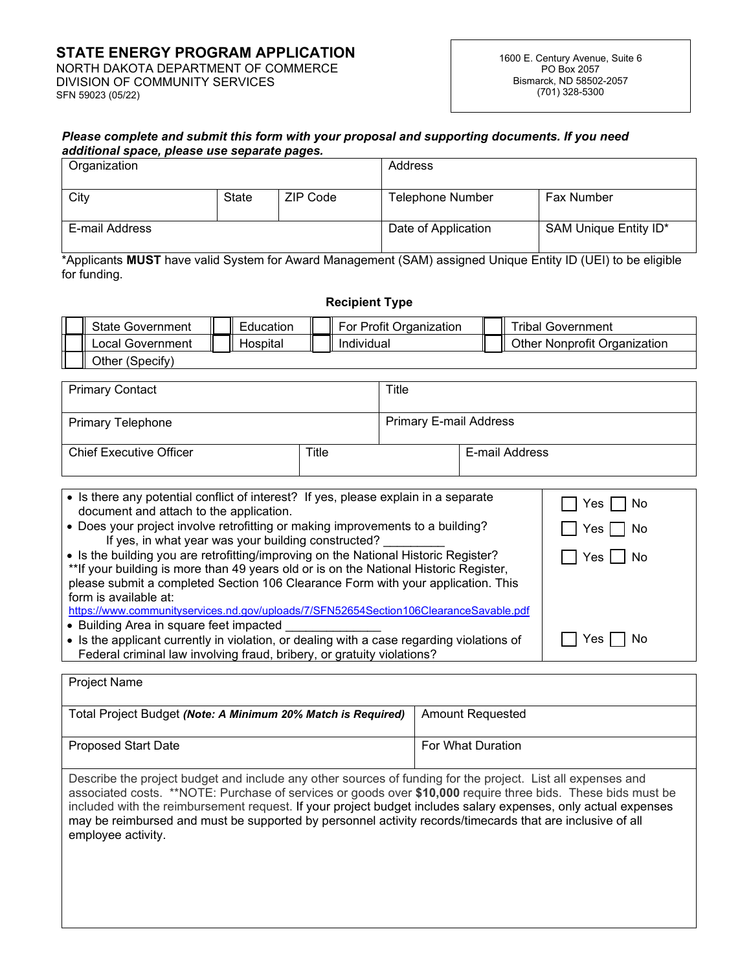SFN 59023 (05/22)

## *Please complete and submit this form with your proposal and supporting documents. If you need additional space, please use separate pages.*

| Organization   |       |          | Address             |                       |
|----------------|-------|----------|---------------------|-----------------------|
| City           | State | ZIP Code | Telephone Number    | <b>Fax Number</b>     |
| E-mail Address |       |          | Date of Application | SAM Unique Entity ID* |

\*Applicants **MUST** have valid System for Award Management (SAM) assigned Unique Entity ID (UEI) to be eligible for funding.

## **Recipient Type**

| <b>State Government</b> | Education | ∟For Profit Organization i | <b>Tribal Government</b>            |
|-------------------------|-----------|----------------------------|-------------------------------------|
| Local Government        | Hospital  | Individual                 | <b>Other Nonprofit Organization</b> |
| Other (Specify)         |           |                            |                                     |

| <b>Primary Contact</b>         |       | Title                         |                |
|--------------------------------|-------|-------------------------------|----------------|
| <b>Primary Telephone</b>       |       | <b>Primary E-mail Address</b> |                |
| <b>Chief Executive Officer</b> | Title |                               | E-mail Address |

| • Is there any potential conflict of interest? If yes, please explain in a separate<br>document and attach to the application.                                                                                                                                    | No<br>Yes I |
|-------------------------------------------------------------------------------------------------------------------------------------------------------------------------------------------------------------------------------------------------------------------|-------------|
| • Does your project involve retrofitting or making improvements to a building?<br>If yes, in what year was your building constructed?                                                                                                                             | No<br>Yes I |
| • Is the building you are retrofitting/improving on the National Historic Register?<br>** If your building is more than 49 years old or is on the National Historic Register,<br>please submit a completed Section 106 Clearance Form with your application. This | Yes     No  |
| form is available at:                                                                                                                                                                                                                                             |             |
| https://www.communityservices.nd.gov/uploads/7/SFN52654Section106ClearanceSavable.pdf<br>• Building Area in square feet impacted                                                                                                                                  |             |
| • Is the applicant currently in violation, or dealing with a case regarding violations of<br>Federal criminal law involving fraud, bribery, or gratuity violations?                                                                                               | Yes.        |

| Total Project Budget (Note: A Minimum 20% Match is Required) | <b>Amount Requested</b> |
|--------------------------------------------------------------|-------------------------|
| <b>Proposed Start Date</b>                                   | For What Duration       |

Describe the project budget and include any other sources of funding for the project. List all expenses and associated costs. \*\*NOTE: Purchase of services or goods over **\$10,000** require three bids. These bids must be included with the reimbursement request. If your project budget includes salary expenses, only actual expenses may be reimbursed and must be supported by personnel activity records/timecards that are inclusive of all employee activity.